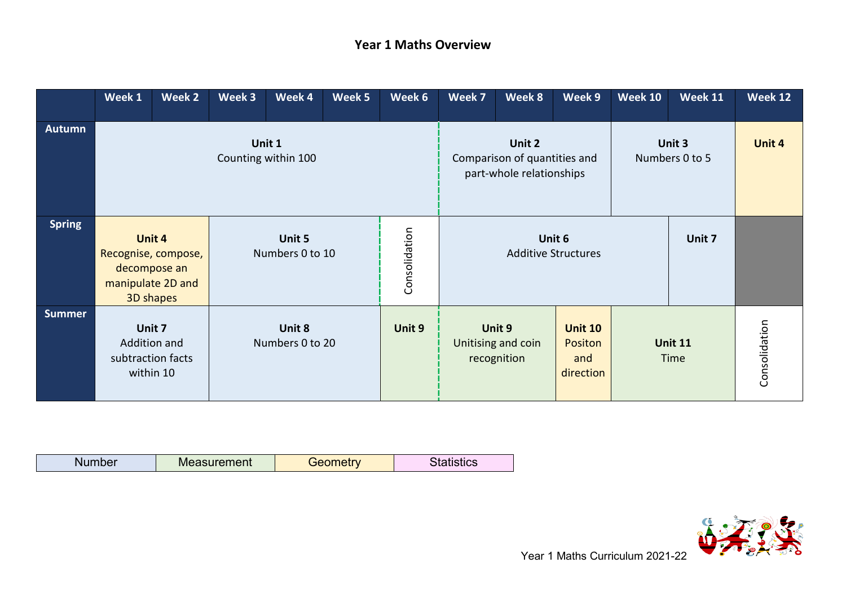## **Year 1 Maths Overview**

|               | Week 1                                                                          | Week 2                         | Week 3                    | Week 4                    | Week 5        | Week 6                                                             | Week 7 | Week 8                                      | Week 9                                               | <b>Week 10</b> | <b>Week 11</b>         | Week 12       |
|---------------|---------------------------------------------------------------------------------|--------------------------------|---------------------------|---------------------------|---------------|--------------------------------------------------------------------|--------|---------------------------------------------|------------------------------------------------------|----------------|------------------------|---------------|
| <b>Autumn</b> | Unit 1<br>Counting within 100                                                   |                                |                           |                           |               | Unit 2<br>Comparison of quantities and<br>part-whole relationships |        | Unit 3<br>Numbers 0 to 5                    | Unit 4                                               |                |                        |               |
| <b>Spring</b> | Unit 4<br>Recognise, compose,<br>decompose an<br>manipulate 2D and<br>3D shapes |                                | Unit 5<br>Numbers 0 to 10 |                           | Consolidation | Unit 6<br><b>Additive Structures</b>                               |        |                                             | Unit 7                                               |                |                        |               |
| <b>Summer</b> | Unit 7<br>Addition and                                                          | subtraction facts<br>within 10 |                           | Unit 8<br>Numbers 0 to 20 |               | Unit 9                                                             |        | Unit 9<br>Unitising and coin<br>recognition | <b>Unit 10</b><br><b>Positon</b><br>and<br>direction |                | <b>Unit 11</b><br>Time | Consolidation |

| - -<br><b>COLOR</b><br>N | ement <sup>.</sup><br>IVI)<br>,我们就会在这里,我们的时候,我们就会在这里,我们就会在这里,我们就会在这里,我们就会在这里,我们就会在这里,我们就会在这里,我们就会在这里,我们就会不是我们的 | --- |  |
|--------------------------|----------------------------------------------------------------------------------------------------------------|-----|--|

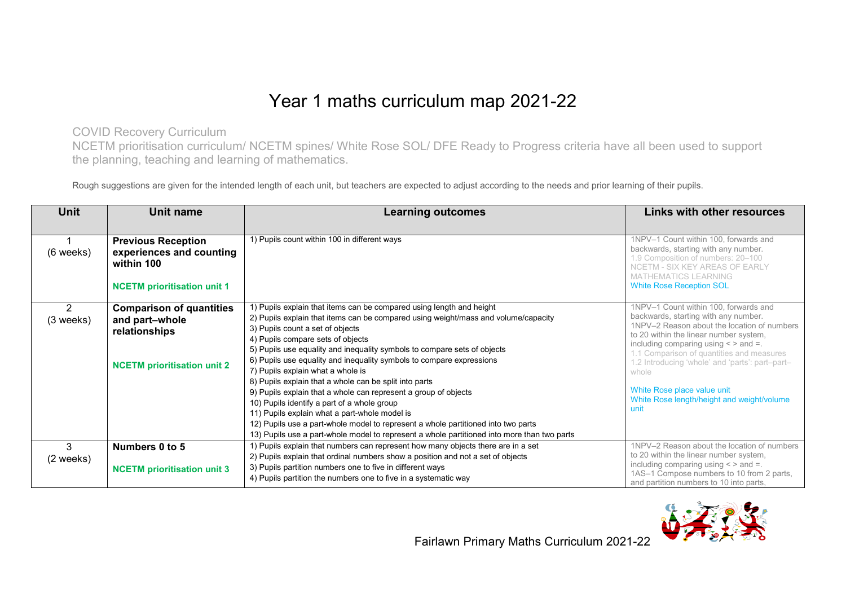## Year 1 maths curriculum map 2021-22

COVID Recovery Curriculum

NCETM prioritisation curriculum/ NCETM spines/ White Rose SOL/ DFE Ready to Progress criteria have all been used to support the planning, teaching and learning of mathematics.

Rough suggestions are given for the intended length of each unit, but teachers are expected to adjust according to the needs and prior learning of their pupils.

| Unit<br>Unit name |                                        | <b>Learning outcomes</b>                                                                    | <b>Links with other resources</b>                                                                            |  |
|-------------------|----------------------------------------|---------------------------------------------------------------------------------------------|--------------------------------------------------------------------------------------------------------------|--|
|                   |                                        |                                                                                             |                                                                                                              |  |
|                   | <b>Previous Reception</b>              | 1) Pupils count within 100 in different ways                                                | 1NPV-1 Count within 100, forwards and                                                                        |  |
| $(6$ weeks)       | experiences and counting<br>within 100 |                                                                                             | backwards, starting with any number.<br>1.9 Composition of numbers: 20-100<br>NCETM - SIX KEY AREAS OF EARLY |  |
|                   | <b>NCETM</b> prioritisation unit 1     |                                                                                             | <b>MATHEMATICS LEARNING</b><br><b>White Rose Reception SOL</b>                                               |  |
| 2                 | <b>Comparison of quantities</b>        | 1) Pupils explain that items can be compared using length and height                        | 1NPV-1 Count within 100, forwards and                                                                        |  |
| $(3$ weeks)       | and part-whole                         | 2) Pupils explain that items can be compared using weight/mass and volume/capacity          | backwards, starting with any number.                                                                         |  |
|                   | relationships                          | 3) Pupils count a set of objects                                                            | 1NPV-2 Reason about the location of numbers<br>to 20 within the linear number system,                        |  |
|                   |                                        | 4) Pupils compare sets of objects                                                           | including comparing using $\lt$ > and =.                                                                     |  |
|                   |                                        | 5) Pupils use equality and inequality symbols to compare sets of objects                    | 1.1 Comparison of quantities and measures                                                                    |  |
|                   | <b>NCETM</b> prioritisation unit 2     | 6) Pupils use equality and inequality symbols to compare expressions                        | 1.2 Introducing 'whole' and 'parts': part-part-                                                              |  |
|                   |                                        | 7) Pupils explain what a whole is                                                           | whole                                                                                                        |  |
|                   |                                        | 8) Pupils explain that a whole can be split into parts                                      |                                                                                                              |  |
|                   |                                        | 9) Pupils explain that a whole can represent a group of objects                             | White Rose place value unit                                                                                  |  |
|                   |                                        | 10) Pupils identify a part of a whole group                                                 | White Rose length/height and weight/volume<br>unit                                                           |  |
|                   |                                        | 11) Pupils explain what a part-whole model is                                               |                                                                                                              |  |
|                   |                                        | 12) Pupils use a part-whole model to represent a whole partitioned into two parts           |                                                                                                              |  |
|                   |                                        | 13) Pupils use a part-whole model to represent a whole partitioned into more than two parts |                                                                                                              |  |
| 3                 | Numbers 0 to 5                         | 1) Pupils explain that numbers can represent how many objects there are in a set            | 1NPV-2 Reason about the location of numbers                                                                  |  |
| (2 weeks)         |                                        | 2) Pupils explain that ordinal numbers show a position and not a set of objects             | to 20 within the linear number system,                                                                       |  |
|                   | <b>NCETM</b> prioritisation unit 3     | 3) Pupils partition numbers one to five in different ways                                   | including comparing using $\lt$ > and =.                                                                     |  |
|                   |                                        | 4) Pupils partition the numbers one to five in a systematic way                             | 1AS-1 Compose numbers to 10 from 2 parts,<br>and partition numbers to 10 into parts,                         |  |

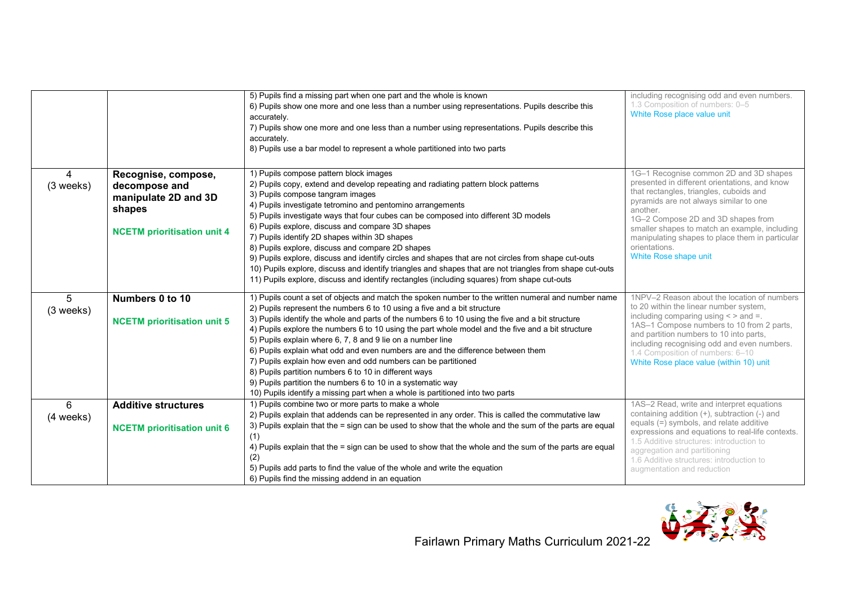|                |                                                                                                              | 5) Pupils find a missing part when one part and the whole is known<br>6) Pupils show one more and one less than a number using representations. Pupils describe this<br>accurately.<br>7) Pupils show one more and one less than a number using representations. Pupils describe this<br>accurately.<br>8) Pupils use a bar model to represent a whole partitioned into two parts                                                                                                                                                                                                                                                                                                                                                                                                                                   | including recognising odd and even numbers.<br>1.3 Composition of numbers: 0-5<br>White Rose place value unit                                                                                                                                                                                                                                                                |
|----------------|--------------------------------------------------------------------------------------------------------------|---------------------------------------------------------------------------------------------------------------------------------------------------------------------------------------------------------------------------------------------------------------------------------------------------------------------------------------------------------------------------------------------------------------------------------------------------------------------------------------------------------------------------------------------------------------------------------------------------------------------------------------------------------------------------------------------------------------------------------------------------------------------------------------------------------------------|------------------------------------------------------------------------------------------------------------------------------------------------------------------------------------------------------------------------------------------------------------------------------------------------------------------------------------------------------------------------------|
| 4<br>(3 weeks) | Recognise, compose,<br>decompose and<br>manipulate 2D and 3D<br>shapes<br><b>NCETM</b> prioritisation unit 4 | 1) Pupils compose pattern block images<br>2) Pupils copy, extend and develop repeating and radiating pattern block patterns<br>3) Pupils compose tangram images<br>4) Pupils investigate tetromino and pentomino arrangements<br>5) Pupils investigate ways that four cubes can be composed into different 3D models<br>6) Pupils explore, discuss and compare 3D shapes<br>7) Pupils identify 2D shapes within 3D shapes<br>8) Pupils explore, discuss and compare 2D shapes<br>9) Pupils explore, discuss and identify circles and shapes that are not circles from shape cut-outs<br>10) Pupils explore, discuss and identify triangles and shapes that are not triangles from shape cut-outs<br>11) Pupils explore, discuss and identify rectangles (including squares) from shape cut-outs                     | 1G-1 Recognise common 2D and 3D shapes<br>presented in different orientations, and know<br>that rectangles, triangles, cuboids and<br>pyramids are not always similar to one<br>another.<br>1G-2 Compose 2D and 3D shapes from<br>smaller shapes to match an example, including<br>manipulating shapes to place them in particular<br>orientations.<br>White Rose shape unit |
| 5<br>(3 weeks) | Numbers 0 to 10<br><b>NCETM</b> prioritisation unit 5                                                        | 1) Pupils count a set of objects and match the spoken number to the written numeral and number name<br>2) Pupils represent the numbers 6 to 10 using a five and a bit structure<br>3) Pupils identify the whole and parts of the numbers 6 to 10 using the five and a bit structure<br>4) Pupils explore the numbers 6 to 10 using the part whole model and the five and a bit structure<br>5) Pupils explain where 6, 7, 8 and 9 lie on a number line<br>6) Pupils explain what odd and even numbers are and the difference between them<br>7) Pupils explain how even and odd numbers can be partitioned<br>8) Pupils partition numbers 6 to 10 in different ways<br>9) Pupils partition the numbers 6 to 10 in a systematic way<br>10) Pupils identify a missing part when a whole is partitioned into two parts | 1NPV-2 Reason about the location of numbers<br>to 20 within the linear number system,<br>including comparing using $\lt$ > and =.<br>1AS-1 Compose numbers to 10 from 2 parts,<br>and partition numbers to 10 into parts,<br>including recognising odd and even numbers.<br>1.4 Composition of numbers: 6-10<br>White Rose place value (within 10) unit                      |
| 6<br>(4 weeks) | <b>Additive structures</b><br><b>NCETM</b> prioritisation unit 6                                             | 1) Pupils combine two or more parts to make a whole<br>2) Pupils explain that addends can be represented in any order. This is called the commutative law<br>3) Pupils explain that the = sign can be used to show that the whole and the sum of the parts are equal<br>(1)<br>4) Pupils explain that the = sign can be used to show that the whole and the sum of the parts are equal<br>(2)<br>5) Pupils add parts to find the value of the whole and write the equation<br>6) Pupils find the missing addend in an equation                                                                                                                                                                                                                                                                                      | 1AS-2 Read, write and interpret equations<br>containing addition $(+)$ , subtraction $(-)$ and<br>equals (=) symbols, and relate additive<br>expressions and equations to real-life contexts.<br>1.5 Additive structures: introduction to<br>aggregation and partitioning<br>1.6 Additive structures: introduction to<br>augmentation and reduction                          |

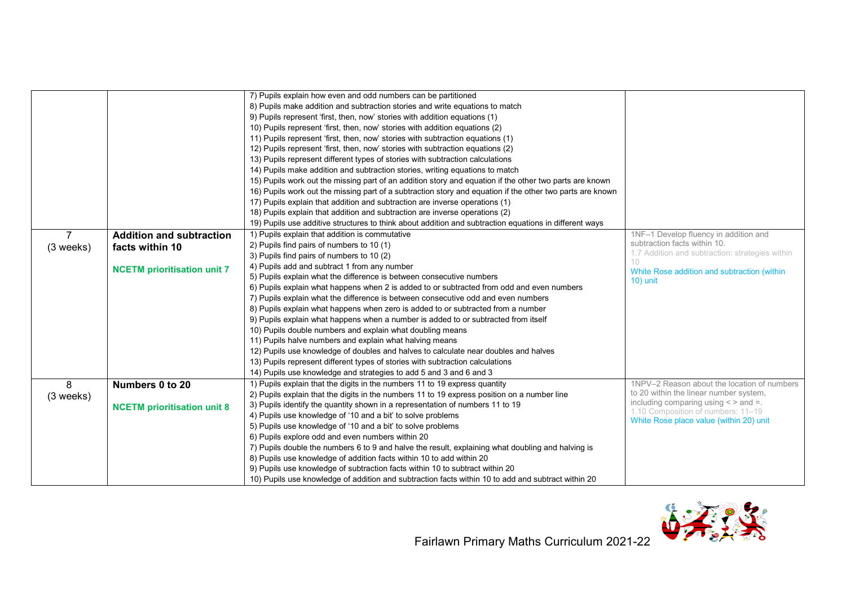|                |                                    | 7) Pupils explain how even and odd numbers can be partitioned                                             |                                                                               |
|----------------|------------------------------------|-----------------------------------------------------------------------------------------------------------|-------------------------------------------------------------------------------|
|                |                                    | 8) Pupils make addition and subtraction stories and write equations to match                              |                                                                               |
|                |                                    | 9) Pupils represent 'first, then, now' stories with addition equations (1)                                |                                                                               |
|                |                                    | 10) Pupils represent 'first, then, now' stories with addition equations (2)                               |                                                                               |
|                |                                    | 11) Pupils represent 'first, then, now' stories with subtraction equations (1)                            |                                                                               |
|                |                                    | 12) Pupils represent 'first, then, now' stories with subtraction equations (2)                            |                                                                               |
|                |                                    | 13) Pupils represent different types of stories with subtraction calculations                             |                                                                               |
|                |                                    | 14) Pupils make addition and subtraction stories, writing equations to match                              |                                                                               |
|                |                                    | 15) Pupils work out the missing part of an addition story and equation if the other two parts are known   |                                                                               |
|                |                                    | 16) Pupils work out the missing part of a subtraction story and equation if the other two parts are known |                                                                               |
|                |                                    | 17) Pupils explain that addition and subtraction are inverse operations (1)                               |                                                                               |
|                |                                    | 18) Pupils explain that addition and subtraction are inverse operations (2)                               |                                                                               |
|                |                                    | 19) Pupils use additive structures to think about addition and subtraction equations in different ways    |                                                                               |
| $\overline{7}$ | <b>Addition and subtraction</b>    | 1) Pupils explain that addition is commutative                                                            | 1NF-1 Develop fluency in addition and                                         |
| (3 weeks)      | facts within 10                    | 2) Pupils find pairs of numbers to 10 (1)                                                                 | subtraction facts within 10.                                                  |
|                |                                    | 3) Pupils find pairs of numbers to 10 (2)                                                                 | 1.7 Addition and subtraction: strategies within                               |
|                | <b>NCETM</b> prioritisation unit 7 | 4) Pupils add and subtract 1 from any number                                                              | White Rose addition and subtraction (within                                   |
|                |                                    | 5) Pupils explain what the difference is between consecutive numbers                                      | $10)$ unit                                                                    |
|                |                                    | 6) Pupils explain what happens when 2 is added to or subtracted from odd and even numbers                 |                                                                               |
|                |                                    | 7) Pupils explain what the difference is between consecutive odd and even numbers                         |                                                                               |
|                |                                    | 8) Pupils explain what happens when zero is added to or subtracted from a number                          |                                                                               |
|                |                                    | 9) Pupils explain what happens when a number is added to or subtracted from itself                        |                                                                               |
|                |                                    | 10) Pupils double numbers and explain what doubling means                                                 |                                                                               |
|                |                                    | 11) Pupils halve numbers and explain what halving means                                                   |                                                                               |
|                |                                    | 12) Pupils use knowledge of doubles and halves to calculate near doubles and halves                       |                                                                               |
|                |                                    | 13) Pupils represent different types of stories with subtraction calculations                             |                                                                               |
|                |                                    | 14) Pupils use knowledge and strategies to add 5 and 3 and 6 and 3                                        |                                                                               |
| 8              | Numbers 0 to 20                    | 1) Pupils explain that the digits in the numbers 11 to 19 express quantity                                | 1NPV-2 Reason about the location of numbers                                   |
| (3 weeks)      |                                    | 2) Pupils explain that the digits in the numbers 11 to 19 express position on a number line               | to 20 within the linear number system,                                        |
|                | <b>NCETM</b> prioritisation unit 8 | 3) Pupils identify the quantity shown in a representation of numbers 11 to 19                             | including comparing using $\lt$ > and =.                                      |
|                |                                    | 4) Pupils use knowledge of '10 and a bit' to solve problems                                               | 1.10 Composition of numbers: 11-19<br>White Rose place value (within 20) unit |
|                |                                    | 5) Pupils use knowledge of '10 and a bit' to solve problems                                               |                                                                               |
|                |                                    | 6) Pupils explore odd and even numbers within 20                                                          |                                                                               |
|                |                                    | 7) Pupils double the numbers 6 to 9 and halve the result, explaining what doubling and halving is         |                                                                               |
|                |                                    | 8) Pupils use knowledge of addition facts within 10 to add within 20                                      |                                                                               |
|                |                                    | 9) Pupils use knowledge of subtraction facts within 10 to subtract within 20                              |                                                                               |
|                |                                    | 10) Pupils use knowledge of addition and subtraction facts within 10 to add and subtract within 20        |                                                                               |

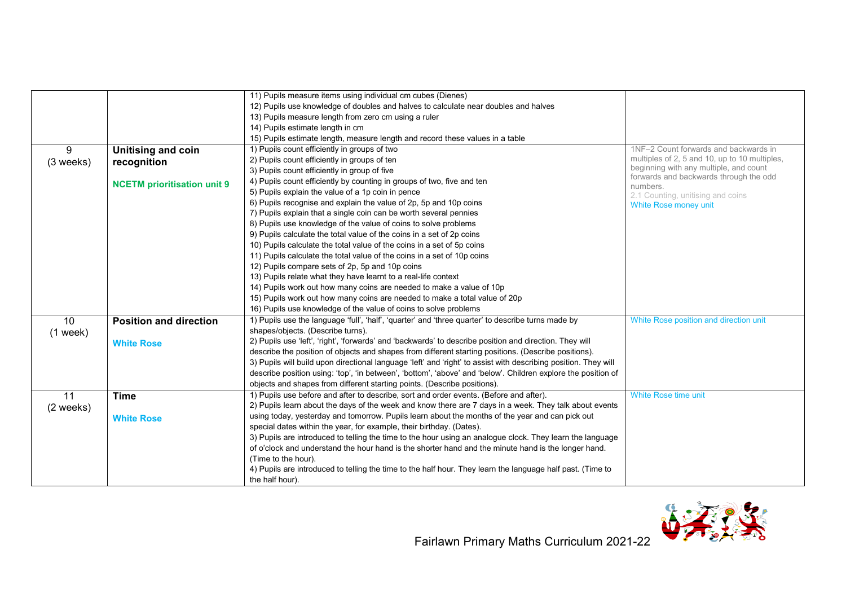|            |                                    | 11) Pupils measure items using individual cm cubes (Dienes)                                                     |                                                                                         |
|------------|------------------------------------|-----------------------------------------------------------------------------------------------------------------|-----------------------------------------------------------------------------------------|
|            |                                    |                                                                                                                 |                                                                                         |
|            |                                    | 12) Pupils use knowledge of doubles and halves to calculate near doubles and halves                             |                                                                                         |
|            |                                    | 13) Pupils measure length from zero cm using a ruler                                                            |                                                                                         |
|            |                                    | 14) Pupils estimate length in cm                                                                                |                                                                                         |
|            |                                    | 15) Pupils estimate length, measure length and record these values in a table                                   |                                                                                         |
| 9          | <b>Unitising and coin</b>          | 1) Pupils count efficiently in groups of two                                                                    | 1NF-2 Count forwards and backwards in                                                   |
| (3 weeks)  | recognition                        | 2) Pupils count efficiently in groups of ten                                                                    | multiples of 2, 5 and 10, up to 10 multiples,<br>beginning with any multiple, and count |
|            |                                    | 3) Pupils count efficiently in group of five                                                                    | forwards and backwards through the odd                                                  |
|            | <b>NCETM</b> prioritisation unit 9 | 4) Pupils count efficiently by counting in groups of two, five and ten                                          | numbers.                                                                                |
|            |                                    | 5) Pupils explain the value of a 1p coin in pence                                                               | 2.1 Counting, unitising and coins                                                       |
|            |                                    | 6) Pupils recognise and explain the value of 2p, 5p and 10p coins                                               | White Rose money unit                                                                   |
|            |                                    | 7) Pupils explain that a single coin can be worth several pennies                                               |                                                                                         |
|            |                                    | 8) Pupils use knowledge of the value of coins to solve problems                                                 |                                                                                         |
|            |                                    | 9) Pupils calculate the total value of the coins in a set of 2p coins                                           |                                                                                         |
|            |                                    | 10) Pupils calculate the total value of the coins in a set of 5p coins                                          |                                                                                         |
|            |                                    | 11) Pupils calculate the total value of the coins in a set of 10p coins                                         |                                                                                         |
|            |                                    | 12) Pupils compare sets of 2p, 5p and 10p coins                                                                 |                                                                                         |
|            |                                    | 13) Pupils relate what they have learnt to a real-life context                                                  |                                                                                         |
|            |                                    | 14) Pupils work out how many coins are needed to make a value of 10p                                            |                                                                                         |
|            |                                    | 15) Pupils work out how many coins are needed to make a total value of 20p                                      |                                                                                         |
|            |                                    | 16) Pupils use knowledge of the value of coins to solve problems                                                |                                                                                         |
| 10         | <b>Position and direction</b>      | 1) Pupils use the language 'full', 'half', 'quarter' and 'three quarter' to describe turns made by              | White Rose position and direction unit                                                  |
| $(1$ week) |                                    | shapes/objects. (Describe turns).                                                                               |                                                                                         |
|            | <b>White Rose</b>                  | 2) Pupils use 'left', 'right', 'forwards' and 'backwards' to describe position and direction. They will         |                                                                                         |
|            |                                    | describe the position of objects and shapes from different starting positions. (Describe positions).            |                                                                                         |
|            |                                    | 3) Pupils will build upon directional language 'left' and 'right' to assist with describing position. They will |                                                                                         |
|            |                                    | describe position using: 'top', 'in between', 'bottom', 'above' and 'below'. Children explore the position of   |                                                                                         |
|            |                                    | objects and shapes from different starting points. (Describe positions).                                        |                                                                                         |
| 11         | <b>Time</b>                        | 1) Pupils use before and after to describe, sort and order events. (Before and after).                          | White Rose time unit                                                                    |
| (2 weeks)  |                                    | 2) Pupils learn about the days of the week and know there are 7 days in a week. They talk about events          |                                                                                         |
|            | <b>White Rose</b>                  | using today, yesterday and tomorrow. Pupils learn about the months of the year and can pick out                 |                                                                                         |
|            |                                    | special dates within the year, for example, their birthday. (Dates).                                            |                                                                                         |
|            |                                    | 3) Pupils are introduced to telling the time to the hour using an analogue clock. They learn the language       |                                                                                         |
|            |                                    | of o'clock and understand the hour hand is the shorter hand and the minute hand is the longer hand.             |                                                                                         |
|            |                                    | (Time to the hour).                                                                                             |                                                                                         |
|            |                                    | 4) Pupils are introduced to telling the time to the half hour. They learn the language half past. (Time to      |                                                                                         |
|            |                                    | the half hour).                                                                                                 |                                                                                         |